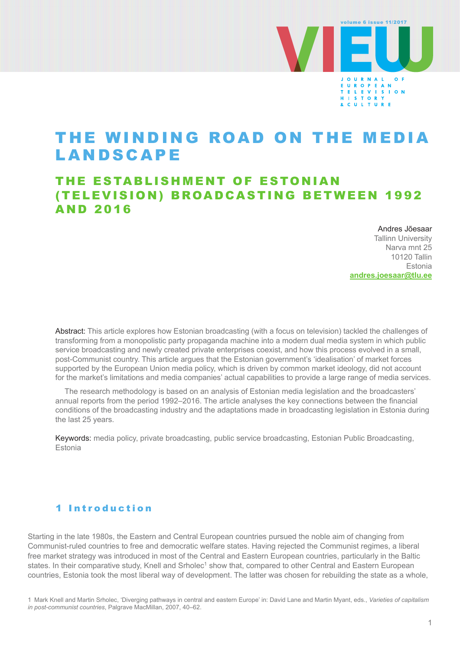

# THE WINDING ROAD ON THE MEDIA **LANDSCAPE**

## THE ESTABLISHMENT OF ESTONIAN (TELEVISION) BROADCASTING BETWEEN 1992 AND 2016

Andres Jõesaar Tallinn University Narva mnt 25 10120 Tallin Estonia

**[andres.joesaar@tlu.ee](mailto:andres.joesaar@tlu.ee)**

Abstract: This article explores how Estonian broadcasting (with a focus on television) tackled the challenges of transforming from a monopolistic party propaganda machine into a modern dual media system in which public service broadcasting and newly created private enterprises coexist, and how this process evolved in a small, post-Communist country. This article argues that the Estonian government's 'idealisation' of market forces supported by the European Union media policy, which is driven by common market ideology, did not account for the market's limitations and media companies' actual capabilities to provide a large range of media services.

The research methodology is based on an analysis of Estonian media legislation and the broadcasters' annual reports from the period 1992–2016. The article analyses the key connections between the financial conditions of the broadcasting industry and the adaptations made in broadcasting legislation in Estonia during the last 25 years.

Keywords: media policy, private broadcasting, public service broadcasting, Estonian Public Broadcasting, Estonia

## 1 Introduction

Starting in the late 1980s, the Eastern and Central European countries pursued the noble aim of changing from Communist-ruled countries to free and democratic welfare states. Having rejected the Communist regimes, a liberal free market strategy was introduced in most of the Central and Eastern European countries, particularly in the Baltic states. In their comparative study, Knell and Srholec<sup>1</sup> show that, compared to other Central and Eastern European countries, Estonia took the most liberal way of development. The latter was chosen for rebuilding the state as a whole,

<sup>1</sup> Mark Knell and Martin Srholec, 'Diverging pathways in central and eastern Europe' in: David Lane and Martin Myant, eds., *Varieties of capitalism in post-communist countries*, Palgrave MacMillan, 2007, 40–62.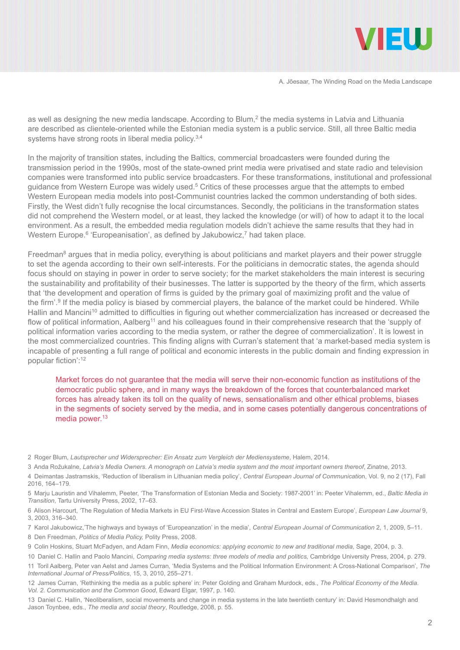

as well as designing the new media landscape. According to Blum,<sup>2</sup> the media systems in Latvia and Lithuania are described as clientele-oriented while the Estonian media system is a public service. Still, all three Baltic media systems have strong roots in liberal media policy.<sup>3,4</sup>

In the majority of transition states, including the Baltics, commercial broadcasters were founded during the transmission period in the 1990s, most of the state-owned print media were privatised and state radio and television companies were transformed into public service broadcasters. For these transformations, institutional and professional guidance from Western Europe was widely used.<sup>5</sup> Critics of these processes argue that the attempts to embed Western European media models into post-Communist countries lacked the common understanding of both sides. Firstly, the West didn't fully recognise the local circumstances. Secondly, the politicians in the transformation states did not comprehend the Western model, or at least, they lacked the knowledge (or will) of how to adapt it to the local environment. As a result, the embedded media regulation models didn't achieve the same results that they had in Western Europe.<sup>6</sup> 'Europeanisation', as defined by Jakubowicz,<sup>7</sup> had taken place.

Freedman<sup>8</sup> argues that in media policy, everything is about politicians and market players and their power struggle to set the agenda according to their own self-interests. For the politicians in democratic states, the agenda should focus should on staying in power in order to serve society; for the market stakeholders the main interest is securing the sustainability and profitability of their businesses. The latter is supported by the theory of the firm, which asserts that 'the development and operation of firms is guided by the primary goal of maximizing profit and the value of the firm'.<sup>9</sup> If the media policy is biased by commercial players, the balance of the market could be hindered. While Hallin and Mancini<sup>10</sup> admitted to difficulties in figuring out whether commercialization has increased or decreased the flow of political information, Aalberg<sup>11</sup> and his colleagues found in their comprehensive research that the 'supply of political information varies according to the media system, or rather the degree of commercialization'. It is lowest in the most commercialized countries. This finding aligns with Curran's statement that 'a market-based media system is incapable of presenting a full range of political and economic interests in the public domain and finding expression in popular fiction':<sup>12</sup>

Market forces do not guarantee that the media will serve their non-economic function as institutions of the democratic public sphere, and in many ways the breakdown of the forces that counterbalanced market forces has already taken its toll on the quality of news, sensationalism and other ethical problems, biases in the segments of society served by the media, and in some cases potentially dangerous concentrations of media power.<sup>13</sup>

13 Daniel C. Hallin, 'Neoliberalism, social movements and change in media systems in the late twentieth century' in: David Hesmondhalgh and Jason Toynbee, eds., *The media and social theory*, Routledge, 2008, p. 55.

<sup>2</sup> Roger Blum, *Lautsprecher und Widersprecher: Ein Ansatz zum Vergleich der Mediensysteme*, Halem, 2014.

<sup>3</sup> Anda Rožukalne, *Latvia's Media Owners. A monograph on Latvia's media system and the most important owners thereof*, Zinatne, 2013.

<sup>4</sup> Deimantas Jastramskis, 'Reduction of liberalism in Lithuanian media policy', *Central European Journal of Communicatio*n, Vol. 9, no 2 (17), Fall 2016, 164–179.

<sup>5</sup> Marju Lauristin and Vihalemm, Peeter, 'The Transformation of Estonian Media and Society: 1987-2001' in: Peeter Vihalemm, ed., *Baltic Media in Transition*, Tartu University Press, 2002, 17–63.

<sup>6</sup> Alison Harcourt, 'The Regulation of Media Markets in EU First-Wave Accession States in Central and Eastern Europe', *European Law Journal* 9, 3, 2003, 316–340.

<sup>7</sup> Karol Jakubowicz,'The highways and byways of 'Europeanzation' in the media', *Central European Journal of Communication* 2, 1, 2009, 5–11.

<sup>8</sup> Den Freedman, *Politics of Media Policy,* Polity Press, 2008.

<sup>9</sup> Colin Hoskins, Stuart McFadyen, and Adam Finn, *Media economics: applying economic to new and traditional media*, Sage, 2004, p. 3.

<sup>10</sup> Daniel C. Hallin and Paolo Mancini, *Comparing media systems: three models of media and politics,* Cambridge University Press, 2004, p. 279. 11 Toril Aalberg, Peter van Aelst and James Curran, 'Media Systems and the Political Information Environment: A Cross-National Comparison', *The International Journal of Press/Politics*, 15, 3, 2010, 255–271.

<sup>12</sup> James Curran, 'Rethinking the media as a public sphere' in: Peter Golding and Graham Murdock, eds., *The Political Economy of the Media. Vol. 2. Communication and the Common Good*, Edward Elgar, 1997, p. 140.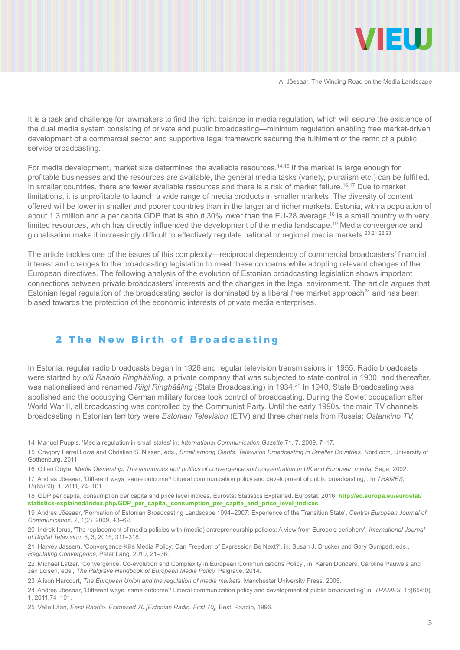

It is a task and challenge for lawmakers to find the right balance in media regulation, which will secure the existence of the dual media system consisting of private and public broadcasting—minimum regulation enabling free market-driven development of a commercial sector and supportive legal framework securing the fulfilment of the remit of a public service broadcasting.

For media development, market size determines the available resources.14,15 If the market is large enough for profitable businesses and the resources are available, the general media tasks (variety, pluralism etc.) can be fulfilled. In smaller countries, there are fewer available resources and there is a risk of market failure.<sup>16,17</sup> Due to market limitations, it is unprofitable to launch a wide range of media products in smaller markets. The diversity of content offered will be lower in smaller and poorer countries than in the larger and richer markets. Estonia, with a population of about 1.3 million and a per capita GDP that is about 30% lower than the EU-28 average,<sup>18</sup> is a small country with very limited resources, which has directly influenced the development of the media landscape.<sup>19</sup> Media convergence and globalisation make it increasingly difficult to effectively regulate national or regional media markets.<sup>20,21,22,23</sup>

The article tackles one of the issues of this complexity—reciprocal dependency of commercial broadcasters' financial interest and changes to the broadcasting legislation to meet these concerns while adopting relevant changes of the European directives. The following analysis of the evolution of Estonian broadcasting legislation shows important connections between private broadcasters' interests and the changes in the legal environment. The article argues that Estonian legal regulation of the broadcasting sector is dominated by a liberal free market approach<sup>24</sup> and has been biased towards the protection of the economic interests of private media enterprises.

#### 2 The New Birth of Broadcasting

In Estonia, regular radio broadcasts began in 1926 and regular television transmissions in 1955. Radio broadcasts were started by *o/ü Raadio Ringhääling*, a private company that was subjected to state control in 1930, and thereafter, was nationalised and renamed *Riigi Ringhääling* (State Broadcasting) in 1934.25 In 1940, State Broadcasting was abolished and the occupying German military forces took control of broadcasting. During the Soviet occupation after World War II, all broadcasting was controlled by the Communist Party. Until the early 1990s, the main TV channels broadcasting in Estonian territory were *Estonian Television* (ETV) and three channels from Russia: *Ostankino TV,* 

14 Manuel Puppis, 'Media regulation in small states' in: *International Communication Gazette* 71, 7, 2009, 7–17.

15 Gregory Ferrel Lowe and Christian S. Nissen, eds., *Small among Giants. Television Broadcasting in Smaller Countries*, Nordicom, University of Gothenburg, 2011.

16 Gillan Doyle, *Media Ownership: The economics and politics of convergence and concentration in UK and European media,* Sage, 2002.

17 Andres Jõesaar, 'Different ways, same outcome? Liberal communication policy and development of public broadcasting,'. In *TRAMES*, 15(65/60), 1, 2011, 74–101.

18 GDP per capita, consumption per capita and price level indices. Eurostat Statistics Explained. Eurostat. 2016. **[http://ec.europa.eu/eurostat/](http://ec.europa.eu/eurostat/statistics-explained/index.php/GDP_per_capita,_consumption_per_capita_and_price_level_indices) [statistics-explained/index.php/GDP\\_per\\_capita,\\_consumption\\_per\\_capita\\_and\\_price\\_level\\_indices](http://ec.europa.eu/eurostat/statistics-explained/index.php/GDP_per_capita,_consumption_per_capita_and_price_level_indices)**

19 Andres Jõesaar, 'Formation of Estonian Broadcasting Landscape 1994–2007: Experience of the Transition State', *Central European Journal of Communication*, 2, 1(2), 2009, 43–62.

20 Indrek Ibrus, 'The replacement of media policies with (media) entrepreneurship policies: A view from Europe's periphery', *International Journal of Digital Television*, 6, 3, 2015, 311–318.

21 Harvey Jassem, 'Convergence Kills Media Policy: Can Freedom of Expression Be Next?', in: Susan J. Drucker and Gary Gumpert, eds., *Regulating Convergence*, Peter Lang, 2010, 21–36.

22 Michael Latzer, 'Convergence, Co-evolution and Complexity in European Communications Policy', in: Karen Donders, Caroline Pauwels and Jan Loisen, eds., *The Palgrave Handbook of European Media Policy,* Palgrave, 2014.

23 Alison Harcourt, *The European Union and the regulation of media markets*, Manchester University Press, 2005.

24 Andres Jõesaar, 'Different ways, same outcome? Liberal communication policy and development of public broadcasting' in: *TRAMES*, 15(65/60), 1, 2011,74–101.

25 Vello Lään, *Eesti Raadio. Esimesed 70 [Estonian Radio. First 70],* Eesti Raadio, 1996.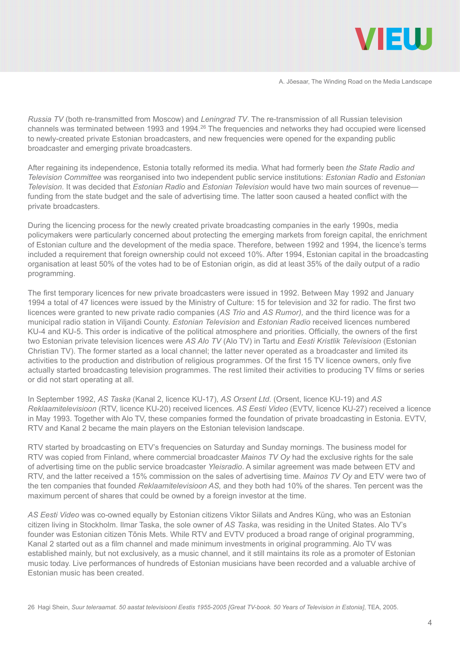

*Russia TV* (both re-transmitted from Moscow) and *Leningrad TV*. The re-transmission of all Russian television channels was terminated between 1993 and 1994.26 The frequencies and networks they had occupied were licensed to newly-created private Estonian broadcasters, and new frequencies were opened for the expanding public broadcaster and emerging private broadcasters.

After regaining its independence, Estonia totally reformed its media. What had formerly been *the State Radio and Television Committee* was reorganised into two independent public service institutions: *Estonian Radio* and *Estonian Television*. It was decided that *Estonian Radio* and *Estonian Television* would have two main sources of revenue funding from the state budget and the sale of advertising time. The latter soon caused a heated conflict with the private broadcasters.

During the licencing process for the newly created private broadcasting companies in the early 1990s, media policymakers were particularly concerned about protecting the emerging markets from foreign capital, the enrichment of Estonian culture and the development of the media space. Therefore, between 1992 and 1994, the licence's terms included a requirement that foreign ownership could not exceed 10%. After 1994, Estonian capital in the broadcasting organisation at least 50% of the votes had to be of Estonian origin, as did at least 35% of the daily output of a radio programming.

The first temporary licences for new private broadcasters were issued in 1992. Between May 1992 and January 1994 a total of 47 licences were issued by the Ministry of Culture: 15 for television and 32 for radio. The first two licences were granted to new private radio companies (*AS Trio* and *AS Rumor),* and the third licence was for a municipal radio station in Viljandi County. *Estonian Television* and *Estonian Radio* received licences numbered KU-4 and KU-5. This order is indicative of the political atmosphere and priorities. Officially, the owners of the first two Estonian private television licences were *AS Alo TV* (Alo TV) in Tartu and *Eesti Kristlik Televisioon* (Estonian Christian TV). The former started as a local channel; the latter never operated as a broadcaster and limited its activities to the production and distribution of religious programmes. Of the first 15 TV licence owners, only five actually started broadcasting television programmes. The rest limited their activities to producing TV films or series or did not start operating at all.

In September 1992, *AS Taska* (Kanal 2, licence KU-17), *AS Orsent Ltd.* (Orsent, licence KU-19) and *AS Reklaamitelevisioon* (RTV, licence KU-20) received licences. *AS Eesti Video* (EVTV, licence KU-27) received a licence in May 1993. Together with Alo TV, these companies formed the foundation of private broadcasting in Estonia. EVTV, RTV and Kanal 2 became the main players on the Estonian television landscape.

RTV started by broadcasting on ETV's frequencies on Saturday and Sunday mornings. The business model for RTV was copied from Finland, where commercial broadcaster *Mainos TV Oy* had the exclusive rights for the sale of advertising time on the public service broadcaster *Yleisradio*. A similar agreement was made between ETV and RTV, and the latter received a 15% commission on the sales of advertising time. *Mainos TV Oy* and ETV were two of the ten companies that founded *Reklaamitelevisioon AS,* and they both had 10% of the shares. Ten percent was the maximum percent of shares that could be owned by a foreign investor at the time.

*AS Eesti Video* was co-owned equally by Estonian citizens Viktor Siilats and Andres Küng, who was an Estonian citizen living in Stockholm. Ilmar Taska, the sole owner of *AS Taska*, was residing in the United States. Alo TV's founder was Estonian citizen Tõnis Mets. While RTV and EVTV produced a broad range of original programming, Kanal 2 started out as a film channel and made minimum investments in original programming. Alo TV was established mainly, but not exclusively, as a music channel, and it still maintains its role as a promoter of Estonian music today. Live performances of hundreds of Estonian musicians have been recorded and a valuable archive of Estonian music has been created.

26 Hagi Shein, *Suur teleraamat. 50 aastat televisiooni Eestis 1955-2005 [Great TV-book. 50 Years of Television in Estonia]*, TEA, 2005.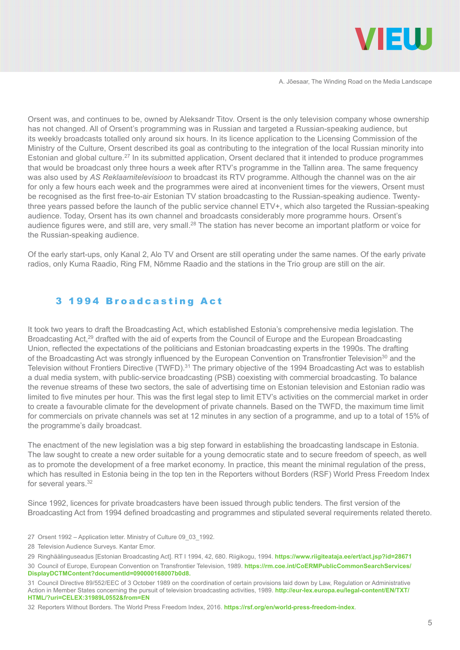

Orsent was, and continues to be, owned by Aleksandr Titov. Orsent is the only television company whose ownership has not changed. All of Orsent's programming was in Russian and targeted a Russian-speaking audience, but its weekly broadcasts totalled only around six hours. In its licence application to the Licensing Commission of the Ministry of the Culture, Orsent described its goal as contributing to the integration of the local Russian minority into Estonian and global culture.<sup>27</sup> In its submitted application. Orsent declared that it intended to produce programmes that would be broadcast only three hours a week after RTV's programme in the Tallinn area. The same frequency was also used by *AS Reklaamitelevisioon* to broadcast its RTV programme. Although the channel was on the air for only a few hours each week and the programmes were aired at inconvenient times for the viewers, Orsent must be recognised as the first free-to-air Estonian TV station broadcasting to the Russian-speaking audience. Twentythree years passed before the launch of the public service channel ETV+, which also targeted the Russian-speaking audience. Today, Orsent has its own channel and broadcasts considerably more programme hours. Orsent's audience figures were, and still are, very small.28 The station has never become an important platform or voice for the Russian-speaking audience.

Of the early start-ups, only Kanal 2, Alo TV and Orsent are still operating under the same names. Of the early private radios, only Kuma Raadio, Ring FM, Nõmme Raadio and the stations in the Trio group are still on the air.

## 3 1994 Broadcasting Act

It took two years to draft the Broadcasting Act, which established Estonia's comprehensive media legislation. The Broadcasting Act,<sup>29</sup> drafted with the aid of experts from the Council of Europe and the European Broadcasting Union, reflected the expectations of the politicians and Estonian broadcasting experts in the 1990s. The drafting of the Broadcasting Act was strongly influenced by the European Convention on Transfrontier Television<sup>30</sup> and the Television without Frontiers Directive (TWFD).<sup>31</sup> The primary objective of the 1994 Broadcasting Act was to establish a dual media system, with public-service broadcasting (PSB) coexisting with commercial broadcasting. To balance the revenue streams of these two sectors, the sale of advertising time on Estonian television and Estonian radio was limited to five minutes per hour. This was the first legal step to limit ETV's activities on the commercial market in order to create a favourable climate for the development of private channels. Based on the TWFD, the maximum time limit for commercials on private channels was set at 12 minutes in any section of a programme, and up to a total of 15% of the programme's daily broadcast.

The enactment of the new legislation was a big step forward in establishing the broadcasting landscape in Estonia. The law sought to create a new order suitable for a young democratic state and to secure freedom of speech, as well as to promote the development of a free market economy. In practice, this meant the minimal regulation of the press, which has resulted in Estonia being in the top ten in the Reporters without Borders (RSF) World Press Freedom Index for several years.32

Since 1992, licences for private broadcasters have been issued through public tenders. The first version of the Broadcasting Act from 1994 defined broadcasting and programmes and stipulated several requirements related thereto.

- 27 Orsent 1992 Application letter. Ministry of Culture 09\_03\_1992.
- 28 Television Audience Surveys. Kantar Emor.

32 Reporters Without Borders. The World Press Freedom Index, 2016. **<https://rsf.org/en/world-press-freedom-index>**.

<sup>29</sup> Ringhäälinguseadus [Estonian Broadcasting Act]. RT I 1994, 42, 680. Riigikogu, 1994. **<https://www.riigiteataja.ee/ert/act.jsp?id=28671>**

<sup>30</sup> Council of Europe, European Convention on Transfrontier Television, 1989. **[https://rm.coe.int/CoERMPublicCommonSearchServices/](https://rm.coe.int/CoERMPublicCommonSearchServices/DisplayDCTMContent?documentId=090000168007b0d8) [DisplayDCTMContent?documentId=090000168007b0d8.](https://rm.coe.int/CoERMPublicCommonSearchServices/DisplayDCTMContent?documentId=090000168007b0d8)** 

<sup>31</sup> Council Directive 89/552/EEC of 3 October 1989 on the coordination of certain provisions laid down by Law, Regulation or Administrative Action in Member States concerning the pursuit of television broadcasting activities, 1989. **[http://eur-lex.europa.eu/legal-content/EN/TXT/](http://eur-lex.europa.eu/legal-content/EN/TXT/HTML/?uri=CELEX:31989L0552&from=EN) [HTML/?uri=CELEX:31989L0552&from=EN](http://eur-lex.europa.eu/legal-content/EN/TXT/HTML/?uri=CELEX:31989L0552&from=EN)**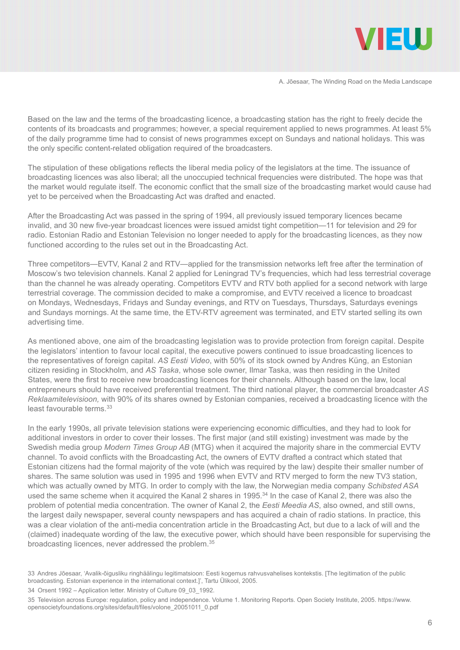

Based on the law and the terms of the broadcasting licence, a broadcasting station has the right to freely decide the contents of its broadcasts and programmes; however, a special requirement applied to news programmes. At least 5% of the daily programme time had to consist of news programmes except on Sundays and national holidays. This was the only specific content-related obligation required of the broadcasters.

The stipulation of these obligations reflects the liberal media policy of the legislators at the time. The issuance of broadcasting licences was also liberal; all the unoccupied technical frequencies were distributed. The hope was that the market would regulate itself. The economic conflict that the small size of the broadcasting market would cause had yet to be perceived when the Broadcasting Act was drafted and enacted.

After the Broadcasting Act was passed in the spring of 1994, all previously issued temporary licences became invalid, and 30 new five-year broadcast licences were issued amidst tight competition—11 for television and 29 for radio. Estonian Radio and Estonian Television no longer needed to apply for the broadcasting licences, as they now functioned according to the rules set out in the Broadcasting Act.

Three competitors—EVTV, Kanal 2 and RTV—applied for the transmission networks left free after the termination of Moscow's two television channels. Kanal 2 applied for Leningrad TV's frequencies, which had less terrestrial coverage than the channel he was already operating. Competitors EVTV and RTV both applied for a second network with large terrestrial coverage. The commission decided to make a compromise, and EVTV received a licence to broadcast on Mondays, Wednesdays, Fridays and Sunday evenings, and RTV on Tuesdays, Thursdays, Saturdays evenings and Sundays mornings. At the same time, the ETV-RTV agreement was terminated, and ETV started selling its own advertising time.

As mentioned above, one aim of the broadcasting legislation was to provide protection from foreign capital. Despite the legislators' intention to favour local capital, the executive powers continued to issue broadcasting licences to the representatives of foreign capital. *AS Eesti Video*, with 50% of its stock owned by Andres Küng, an Estonian citizen residing in Stockholm, and *AS Taska*, whose sole owner, Ilmar Taska, was then residing in the United States, were the first to receive new broadcasting licences for their channels. Although based on the law, local entrepreneurs should have received preferential treatment. The third national player, the commercial broadcaster *AS Reklaamitelevisioon,* with 90% of its shares owned by Estonian companies, received a broadcasting licence with the least favourable terms.<sup>33</sup>

In the early 1990s, all private television stations were experiencing economic difficulties, and they had to look for additional investors in order to cover their losses. The first major (and still existing) investment was made by the Swedish media group *Modern Times Group AB* (MTG) when it acquired the majority share in the commercial EVTV channel. To avoid conflicts with the Broadcasting Act, the owners of EVTV drafted a contract which stated that Estonian citizens had the formal majority of the vote (which was required by the law) despite their smaller number of shares. The same solution was used in 1995 and 1996 when EVTV and RTV merged to form the new TV3 station, which was actually owned by MTG. In order to comply with the law, the Norwegian media company *Schibsted ASA* used the same scheme when it acquired the Kanal 2 shares in 1995.<sup>34</sup> In the case of Kanal 2, there was also the problem of potential media concentration. The owner of Kanal 2, the *Eesti Meedia AS*, also owned, and still owns, the largest daily newspaper, several county newspapers and has acquired a chain of radio stations. In practice, this was a clear violation of the anti-media concentration article in the Broadcasting Act, but due to a lack of will and the (claimed) inadequate wording of the law, the executive power, which should have been responsible for supervising the broadcasting licences, never addressed the problem.35

<sup>33</sup> Andres Jõesaar, 'Avalik-õigusliku ringhäälingu legitimatsioon: Eesti kogemus rahvusvahelises kontekstis. [The legitimation of the public broadcasting. Estonian experience in the international context.]', Tartu Ülikool, 2005.

<sup>34</sup> Orsent 1992 – Application letter. Ministry of Culture 09\_03\_1992.

<sup>35</sup> Television across Europe: regulation, policy and independence. Volume 1. Monitoring Reports. Open Society Institute, 2005. [https://www.](https://www.opensocietyfoundations.org/sites/default/files/volone_20051011_0.pdf) [opensocietyfoundations.org/sites/default/files/volone\\_20051011\\_0.pdf](https://www.opensocietyfoundations.org/sites/default/files/volone_20051011_0.pdf)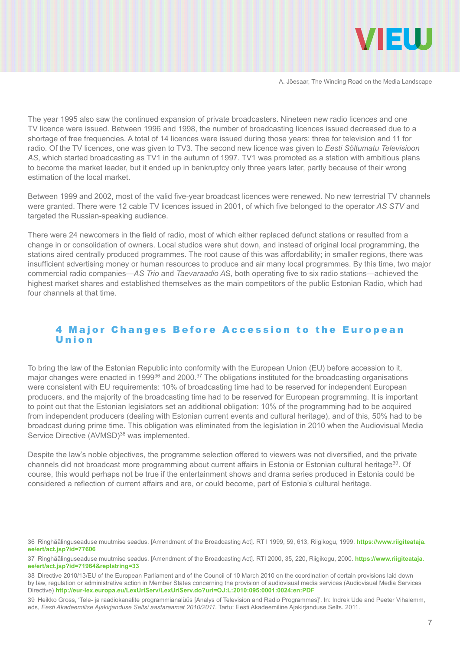

The year 1995 also saw the continued expansion of private broadcasters. Nineteen new radio licences and one TV licence were issued. Between 1996 and 1998, the number of broadcasting licences issued decreased due to a shortage of free frequencies. A total of 14 licences were issued during those years: three for television and 11 for radio. Of the TV licences, one was given to TV3. The second new licence was given to *Eesti Sõltumatu Televisioon AS*, which started broadcasting as TV1 in the autumn of 1997. TV1 was promoted as a station with ambitious plans to become the market leader, but it ended up in bankruptcy only three years later, partly because of their wrong estimation of the local market.

Between 1999 and 2002, most of the valid five-year broadcast licences were renewed. No new terrestrial TV channels were granted. There were 12 cable TV licences issued in 2001, of which five belonged to the operator *AS STV* and targeted the Russian-speaking audience.

There were 24 newcomers in the field of radio, most of which either replaced defunct stations or resulted from a change in or consolidation of owners. Local studios were shut down, and instead of original local programming, the stations aired centrally produced programmes. The root cause of this was affordability; in smaller regions, there was insufficient advertising money or human resources to produce and air many local programmes. By this time, two major commercial radio companies—*AS Trio* and *Taevaraadio A*S, both operating five to six radio stations—achieved the highest market shares and established themselves as the main competitors of the public Estonian Radio, which had four channels at that time.

#### 4 Major Changes Before Accession to the European Union

To bring the law of the Estonian Republic into conformity with the European Union (EU) before accession to it, major changes were enacted in 199936 and 2000.37 The obligations instituted for the broadcasting organisations were consistent with EU requirements: 10% of broadcasting time had to be reserved for independent European producers, and the majority of the broadcasting time had to be reserved for European programming. It is important to point out that the Estonian legislators set an additional obligation: 10% of the programming had to be acquired from independent producers (dealing with Estonian current events and cultural heritage), and of this, 50% had to be broadcast during prime time. This obligation was eliminated from the legislation in 2010 when the Audiovisual Media Service Directive (AVMSD)<sup>38</sup> was implemented.

Despite the law's noble objectives, the programme selection offered to viewers was not diversified, and the private channels did not broadcast more programming about current affairs in Estonia or Estonian cultural heritage<sup>39</sup>. Of course, this would perhaps not be true if the entertainment shows and drama series produced in Estonia could be considered a reflection of current affairs and are, or could become, part of Estonia's cultural heritage.

<sup>36</sup> Ringhäälinguseaduse muutmise seadus. [Amendment of the Broadcasting Act]. RT I 1999, 59, 613, Riigikogu, 1999. **[https://www.riigiteataja.](https://www.riigiteataja.ee/ert/act.jsp?id=77606) [ee/ert/act.jsp?id=77606](https://www.riigiteataja.ee/ert/act.jsp?id=77606)**

<sup>37</sup> Ringhäälinguseaduse muutmise seadus. [Amendment of the Broadcasting Act]. RTI 2000, 35, 220, Riigikogu, 2000. **[https://www.riigiteataja.](https://www.riigiteataja.ee/ert/act.jsp?id=71964&replstring=33) [ee/ert/act.jsp?id=71964&replstring=33](https://www.riigiteataja.ee/ert/act.jsp?id=71964&replstring=33)**

<sup>38</sup> Directive 2010/13/EU of the European Parliament and of the Council of 10 March 2010 on the coordination of certain provisions laid down by law, regulation or administrative action in Member States concerning the provision of audiovisual media services (Audiovisual Media Services Directive) **<http://eur-lex.europa.eu/LexUriServ/LexUriServ.do?uri=OJ:L:2010:095:0001:0024:en:PDF>**

<sup>39</sup> Heikko Gross, 'Tele- ja raadiokanalite programmianalüüs [Analys of Television and Radio Programmes]'. In: Indrek Ude and Peeter Vihalemm, eds, *Eesti Akadeemilise Ajakirjanduse Seltsi aastaraamat 2010/2011*. Tartu: Eesti Akadeemiline Ajakirjanduse Selts. 2011.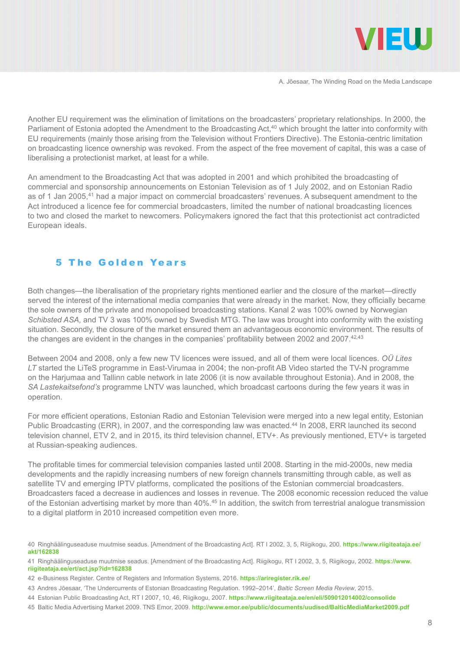

Another EU requirement was the elimination of limitations on the broadcasters' proprietary relationships. In 2000, the Parliament of Estonia adopted the Amendment to the Broadcasting Act,<sup>40</sup> which brought the latter into conformity with EU requirements (mainly those arising from the Television without Frontiers Directive). The Estonia-centric limitation on broadcasting licence ownership was revoked. From the aspect of the free movement of capital, this was a case of liberalising a protectionist market, at least for a while.

An amendment to the Broadcasting Act that was adopted in 2001 and which prohibited the broadcasting of commercial and sponsorship announcements on Estonian Television as of 1 July 2002, and on Estonian Radio as of 1 Jan 2005,<sup>41</sup> had a major impact on commercial broadcasters' revenues. A subsequent amendment to the Act introduced a licence fee for commercial broadcasters, limited the number of national broadcasting licences to two and closed the market to newcomers. Policymakers ignored the fact that this protectionist act contradicted European ideals.

## 5 The Golden Years

Both changes—the liberalisation of the proprietary rights mentioned earlier and the closure of the market—directly served the interest of the international media companies that were already in the market. Now, they officially became the sole owners of the private and monopolised broadcasting stations. Kanal 2 was 100% owned by Norwegian *Schibsted ASA,* and TV 3 was 100% owned by Swedish MTG. The law was brought into conformity with the existing situation. Secondly, the closure of the market ensured them an advantageous economic environment. The results of the changes are evident in the changes in the companies' profitability between 2002 and 2007.<sup>42,43</sup>

Between 2004 and 2008, only a few new TV licences were issued, and all of them were local licences. *OÜ Lites LT* started the LiTeS programme in East-Virumaa in 2004; the non-profit AB Video started the TV-N programme on the Harjumaa and Tallinn cable network in late 2006 (it is now available throughout Estonia). And in 2008, the *SA Lastekaitsefond's* programme LNTV was launched, which broadcast cartoons during the few years it was in operation.

For more efficient operations, Estonian Radio and Estonian Television were merged into a new legal entity, Estonian Public Broadcasting (ERR), in 2007, and the corresponding law was enacted.<sup>44</sup> In 2008, ERR launched its second television channel, ETV 2, and in 2015, its third television channel, ETV+. As previously mentioned, ETV+ is targeted at Russian-speaking audiences.

The profitable times for commercial television companies lasted until 2008. Starting in the mid-2000s, new media developments and the rapidly increasing numbers of new foreign channels transmitting through cable, as well as satellite TV and emerging IPTV platforms, complicated the positions of the Estonian commercial broadcasters. Broadcasters faced a decrease in audiences and losses in revenue. The 2008 economic recession reduced the value of the Estonian advertising market by more than 40%.<sup>45</sup> In addition, the switch from terrestrial analogue transmission to a digital platform in 2010 increased competition even more.

40 Ringhäälinguseaduse muutmise seadus. [Amendment of the Broadcasting Act]. RT I 2002, 3, 5, Riigikogu, 200. **[https://www.riigiteataja.ee/](https://www.riigiteataja.ee/akt/162838) [akt/162838](https://www.riigiteataja.ee/akt/162838)**

42 e-Business Register. Centre of Registers and Information Systems, 2016. **<https://ariregister.rik.ee/>**

<sup>41</sup> Ringhäälinguseaduse muutmise seadus. [Amendment of the Broadcasting Act]. Riigikogu, RT I 2002, 3, 5, Riigikogu, 2002. **[https://www.](https://www.riigiteataja.ee/ert/act.jsp?id=162838) [riigiteataja.ee/ert/act.jsp?id=162838](https://www.riigiteataja.ee/ert/act.jsp?id=162838)**

<sup>43</sup> Andres Jõesaar, 'The Undercurrents of Estonian Broadcasting Regulation. 1992–2014', *Baltic Screen Media Review*, 2015.

<sup>44</sup> Estonian Public Broadcasting Act, RT I 2007, 10, 46, Riigikogu, 2007. **<https://www.riigiteataja.ee/en/eli/509012014002/consolide>**

<sup>45</sup> Baltic Media Advertising Market 2009. TNS Emor, 2009. **<http://www.emor.ee/public/documents/uudised/BalticMediaMarket2009.pdf>**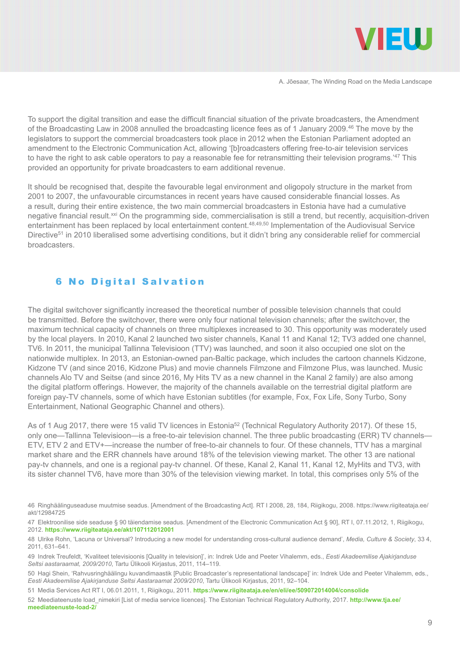

To support the digital transition and ease the difficult financial situation of the private broadcasters, the Amendment of the Broadcasting Law in 2008 annulled the broadcasting licence fees as of 1 January 2009.46 The move by the legislators to support the commercial broadcasters took place in 2012 when the Estonian Parliament adopted an amendment to the Electronic Communication Act, allowing '[b]roadcasters offering free-to-air television services to have the right to ask cable operators to pay a reasonable fee for retransmitting their television programs.<sup>'47</sup> This provided an opportunity for private broadcasters to earn additional revenue.

It should be recognised that, despite the favourable legal environment and oligopoly structure in the market from 2001 to 2007, the unfavourable circumstances in recent years have caused considerable financial losses. As a result, during their entire existence, the two main commercial broadcasters in Estonia have had a cumulative negative financial result.<sup>xxi</sup> On the programming side, commercialisation is still a trend, but recently, acquisition-driven entertainment has been replaced by local entertainment content.48,49,50 Implementation of the Audiovisual Service Directive<sup>51</sup> in 2010 liberalised some advertising conditions, but it didn't bring any considerable relief for commercial broadcasters.

#### 6 No Digital Salvation

The digital switchover significantly increased the theoretical number of possible television channels that could be transmitted. Before the switchover, there were only four national television channels; after the switchover, the maximum technical capacity of channels on three multiplexes increased to 30. This opportunity was moderately used by the local players. In 2010, Kanal 2 launched two sister channels, Kanal 11 and Kanal 12; TV3 added one channel, TV6. In 2011, the municipal Tallinna Televisioon (TTV) was launched, and soon it also occupied one slot on the nationwide multiplex. In 2013, an Estonian-owned pan-Baltic package, which includes the cartoon channels Kidzone, Kidzone TV (and since 2016, Kidzone Plus) and movie channels Filmzone and Filmzone Plus, was launched. Music channels Alo TV and Seitse (and since 2016, My Hits TV as a new channel in the Kanal 2 family) are also among the digital platform offerings. However, the majority of the channels available on the terrestrial digital platform are foreign pay-TV channels, some of which have Estonian subtitles (for example, Fox, Fox Life, Sony Turbo, Sony Entertainment, National Geographic Channel and others).

As of 1 Aug 2017, there were 15 valid TV licences in Estonia<sup>52</sup> (Technical Regulatory Authority 2017). Of these 15, only one—Tallinna Televisioon—is a free-to-air television channel. The three public broadcasting (ERR) TV channels— ETV, ETV 2 and ETV+—increase the number of free-to-air channels to four. Of these channels, TTV has a marginal market share and the ERR channels have around 18% of the television viewing market. The other 13 are national pay-tv channels, and one is a regional pay-tv channel. Of these, Kanal 2, Kanal 11, Kanal 12, MyHits and TV3, with its sister channel TV6, have more than 30% of the television viewing market. In total, this comprises only 5% of the

51 Media Services Act RT I, 06.01.2011, 1, Riigikogu, 2011. **<https://www.riigiteataja.ee/en/eli/ee/509072014004/consolide>**

52 Meediateenuste load\_nimekiri [List of media service licences]. The Estonian Technical Regulatory Authority, 2017. **[http://www.tja.ee/](http://www.tja.ee/meediateenuste-load-2/) [meediateenuste-load-2/](http://www.tja.ee/meediateenuste-load-2/)**

<sup>46</sup> Ringhäälinguseaduse muutmise seadus. [Amendment of the Broadcasting Act]. RT I 2008, 28, 184, Riigikogu, 2008. [https://www.riigiteataja.ee/](https://www.riigiteataja.ee/akt/12984725) [akt/12984725](https://www.riigiteataja.ee/akt/12984725)

<sup>47</sup> Elektroonilise side seaduse § 90 täiendamise seadus. [Amendment of the Electronic Communication Act § 90], RT I, 07.11.2012, 1, Riigikogu, 2012. **<https://www.riigiteataja.ee/akt/107112012001>**

<sup>48</sup> Ulrike Rohn, 'Lacuna or Universal? Introducing a new model for understanding cross-cultural audience demand', *Media, Culture & Society*, 33 4, 2011, 631–641.

<sup>49</sup> Indrek Treufeldt, 'Kvaliteet televisioonis [Quality in television]', in: Indrek Ude and Peeter Vihalemm, eds., *Eesti Akadeemilise Ajakirjanduse Seltsi aastaraamat, 2009/2010*, Tartu Ülikooli Kirjastus, 2011, 114–119.

<sup>50</sup> Hagi Shein, 'Rahvusringhäälingu kuvandimaastik [Public Broadcaster's representational landscape]' in: Indrek Ude and Peeter Vihalemm, eds., *Eesti Akadeemilise Ajakirjanduse Seltsi Aastaraamat 2009/2010*, Tartu Ülikooli Kirjastus, 2011, 92–104.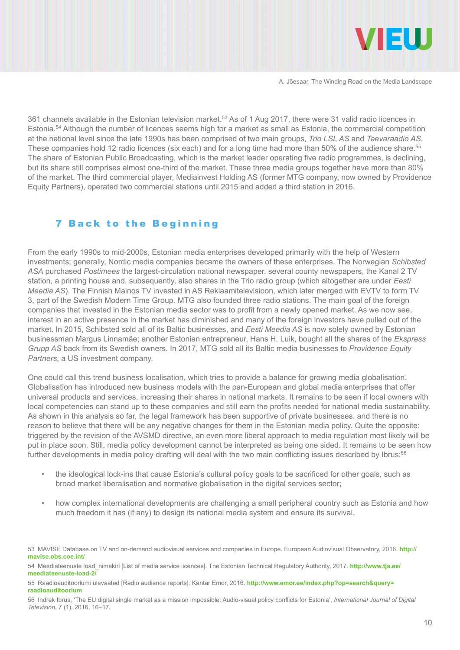

361 channels available in the Estonian television market.53 As of 1 Aug 2017, there were 31 valid radio licences in Estonia.54 Although the number of licences seems high for a market as small as Estonia, the commercial competition at the national level since the late 1990s has been comprised of two main groups, *Trio LSL AS* and *Taevaraadio AS*. These companies hold 12 radio licences (six each) and for a long time had more than 50% of the audience share.<sup>55</sup> The share of Estonian Public Broadcasting, which is the market leader operating five radio programmes, is declining, but its share still comprises almost one-third of the market. These three media groups together have more than 80% of the market. The third commercial player, Mediainvest Holding AS (former MTG company, now owned by Providence Equity Partners), operated two commercial stations until 2015 and added a third station in 2016.

#### 7 Back to the Beginning

From the early 1990s to mid-2000s, Estonian media enterprises developed primarily with the help of Western investments; generally, Nordic media companies became the owners of these enterprises. The Norwegian *Schibsted ASA* purchased *Postimees* the largest-circulation national newspaper, several county newspapers, the Kanal 2 TV station, a printing house and, subsequently, also shares in the Trio radio group (which altogether are under *Eesti Meedia AS*). The Finnish Mainos TV invested in AS Reklaamitelevisioon, which later merged with EVTV to form TV 3, part of the Swedish Modern Time Group. MTG also founded three radio stations. The main goal of the foreign companies that invested in the Estonian media sector was to profit from a newly opened market. As we now see, interest in an active presence in the market has diminished and many of the foreign investors have pulled out of the market. In 2015, Schibsted sold all of its Baltic businesses, and *Eesti Meedia AS* is now solely owned by Estonian businessman Margus Linnamäe; another Estonian entrepreneur, Hans H. Luik, bought all the shares of the *Ekspress Grupp AS* back from its Swedish owners. In 2017, MTG sold all its Baltic media businesses to *Providence Equity Partners*, a US investment company.

One could call this trend business localisation, which tries to provide a balance for growing media globalisation. Globalisation has introduced new business models with the pan-European and global media enterprises that offer universal products and services, increasing their shares in national markets. It remains to be seen if local owners with local competencies can stand up to these companies and still earn the profits needed for national media sustainability. As shown in this analysis so far, the legal framework has been supportive of private businesses, and there is no reason to believe that there will be any negative changes for them in the Estonian media policy. Quite the opposite: triggered by the revision of the AVSMD directive, an even more liberal approach to media regulation most likely will be put in place soon. Still, media policy development cannot be interpreted as being one sided. It remains to be seen how further developments in media policy drafting will deal with the two main conflicting issues described by Ibrus:<sup>56</sup>

- the ideological lock-ins that cause Estonia's cultural policy goals to be sacrificed for other goals, such as broad market liberalisation and normative globalisation in the digital services sector;
- how complex international developments are challenging a small peripheral country such as Estonia and how much freedom it has (if any) to design its national media system and ensure its survival.

55 Raadioauditooriumi ülevaated [Radio audience reports]. Kantar Emor, 2016. **[http://www.emor.ee/index.php?op=search&query=](http://www.emor.ee/index.php?op=search&query=raadioauditoorium) [raadioauditoorium](http://www.emor.ee/index.php?op=search&query=raadioauditoorium)**

56 Indrek Ibrus, 'The EU digital single market as a mission impossible: Audio-visual policy conflicts for Estonia', *International Journal of Digital Television*, 7 (1), 2016, 16–17.

<sup>53</sup> MAVISE Database on TV and on-demand audiovisual services and companies in Europe. European Audiovisual Observatory, 2016. **[http://](http://mavise.obs.coe.int/) [mavise.obs.coe.int/](http://mavise.obs.coe.int/)**

<sup>54</sup> Meediateenuste load\_nimekiri [List of media service licences]. The Estonian Technical Regulatory Authority, 2017. **[http://www.tja.ee/](http://www.tja.ee/meediateenuste-load-2/) [meediateenuste-load-2/](http://www.tja.ee/meediateenuste-load-2/)**